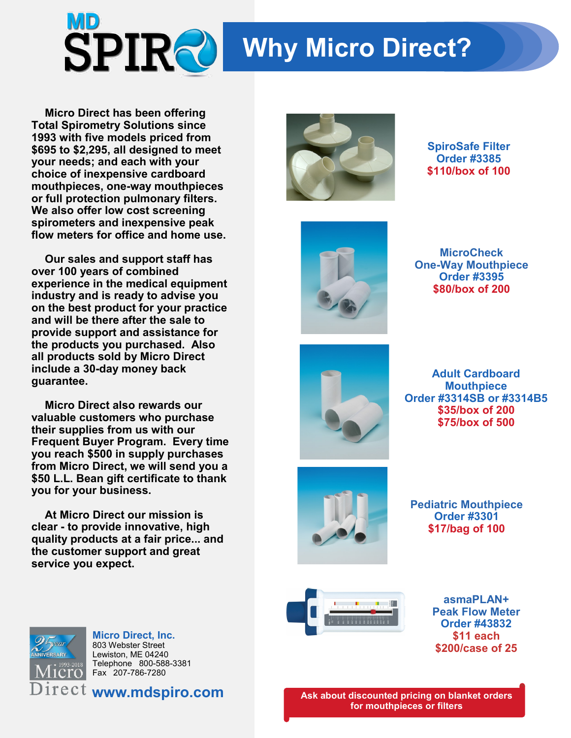

## **Why Micro Direct?**

**Micro Direct has been offering Total Spirometry Solutions since 1993 with five models priced from \$695 to \$2,295, all designed to meet your needs; and each with your choice of inexpensive cardboard mouthpieces, one-way mouthpieces or full protection pulmonary filters. We also offer low cost screening spirometers and inexpensive peak flow meters for office and home use.**

**Our sales and support staff has over 100 years of combined experience in the medical equipment industry and is ready to advise you on the best product for your practice and will be there after the sale to provide support and assistance for the products you purchased. Also all products sold by Micro Direct include a 30-day money back guarantee.**

**Micro Direct also rewards our valuable customers who purchase their supplies from us with our Frequent Buyer Program. Every time you reach \$500 in supply purchases from Micro Direct, we will send you a \$50 L.L. Bean gift certificate to thank you for your business.**

**At Micro Direct our mission is clear - to provide innovative, high quality products at a fair price... and the customer support and great service you expect.** 



**SpiroSafe Filter Order #3385 \$110/box of 100**



**MicroCheck One-Way Mouthpiece Order #3395 \$80/box of 200**



**Adult Cardboard Mouthpiece Order #3314SB or #3314B5 \$35/box of 200 \$75/box of 500**



**Pediatric Mouthpiece Order #3301 \$17/bag of 100**



**asmaPLAN+ Peak Flow Meter Order #43832 \$11 each \$200/case of 25**



**Micro Direct, Inc.** 803 Webster Street Lewiston, ME 04240 Telephone 800-588-3381 Fax 207-786-7280

**www.mdspiro.com**

**Ask about discounted pricing on blanket orders for mouthpieces or filters**